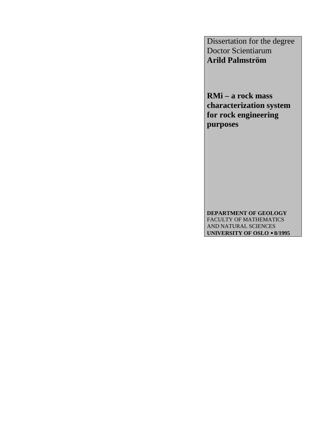Dissertation for the degree Doctor Scientiarum **Arild Palmström** 

**RMi – a rock mass characterization system for rock engineering purposes** 

**DEPARTMENT OF GEOLOGY**  FACULTY OF MATHEMATICS AND NATURAL SCIENCES **UNIVERSITY OF OSLO** • **8/1995**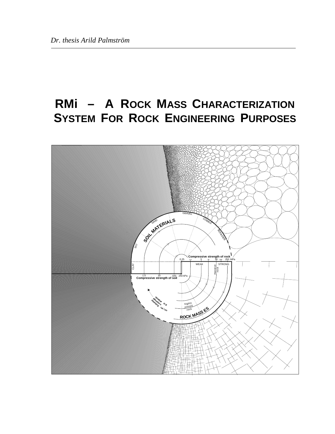## **RMi – A ROCK MASS CHARACTERIZATION SYSTEM FOR ROCK ENGINEERING PURPOSES**

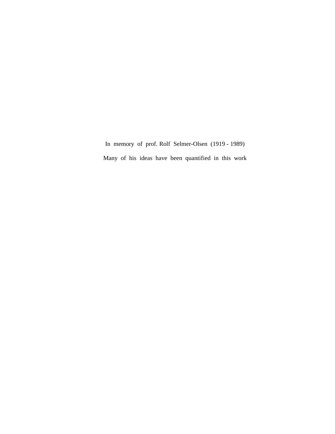In memory of prof. Rolf Selmer-Olsen (1919 - 1989) Many of his ideas have been quantified in this work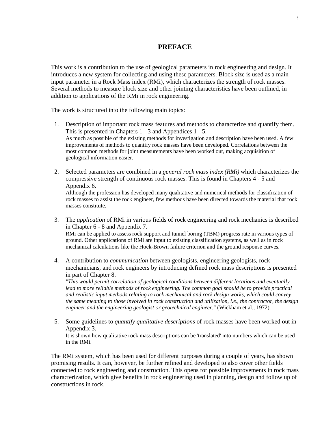## **PREFACE**

This work is a contribution to the use of geological parameters in rock engineering and design. It introduces a new system for collecting and using these parameters. Block size is used as a main input parameter in a Rock Mass index (RMi), which characterizes the strength of rock masses. Several methods to measure block size and other jointing characteristics have been outlined, in addition to applications of the RMi in rock engineering.

The work is structured into the following main topics:

- 1. Description of important rock mass features and methods to characterize and quantify them. This is presented in Chapters 1 - 3 and Appendices 1 - 5. As much as possible of the existing methods for investigation and description have been used. A few improvements of methods to quantify rock masses have been developed. Correlations between the most common methods for joint measurements have been worked out, making acquisition of geological information easier.
- 2. Selected parameters are combined in a *general rock mass index (RMi)* which characterizes the compressive strength of continuous rock masses. This is found in Chapters 4 - 5 and Appendix 6.

Although the profession has developed many qualitative and numerical methods for classification of rock masses to assist the rock engineer, few methods have been directed towards the material that rock masses constitute.

- 3. The *application* of RMi in various fields of rock engineering and rock mechanics is described in Chapter 6 - 8 and Appendix 7. RMi can be applied to assess rock support and tunnel boring (TBM) progress rate in various types of ground. Other applications of RMi are input to existing classification systems, as well as in rock mechanical calculations like the Hoek-Brown failure criterion and the ground response curves.
- 4. A contribution to *communication* between geologists, engineering geologists, rock mechanicians, and rock engineers by introducing defined rock mass descriptions is presented in part of Chapter 8.

*"This would permit correlation of geological conditions between different locations and eventually*  lead to more reliable methods of rock engineering. The common goal should be to provide practical *and realistic input methods relating to rock mechanical and rock design works, which could convey the same meaning to those involved in rock construction and utilization, i.e., the contractor, the design engineer and the engineering geologist or geotechnical engineer."* (Wickham et al., 1972).

 5. Some guidelines to *quantify qualitative descriptions* of rock masses have been worked out in Appendix 3. It is shown how qualitative rock mass descriptions can be 'translated' into numbers which can be used

in the RMi.

The RMi system, which has been used for different purposes during a couple of years, has shown promising results. It can, however, be further refined and developed to also cover other fields connected to rock engineering and construction. This opens for possible improvements in rock mass characterization, which give benefits in rock engineering used in planning, design and follow up of constructions in rock.